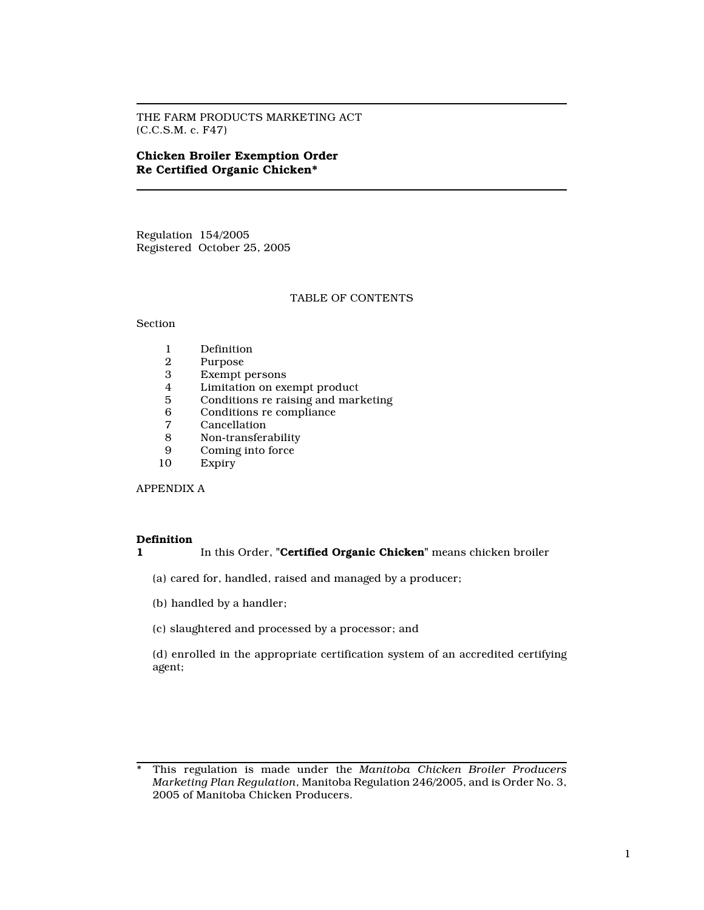THE FARM PRODUCTS MARKETING ACT (C.C.S.M. c. F47)

# Chicken Broiler Exemption Order Re Certified Organic Chicken\*

Regulation 154/2005 Registered October 25, 2005

# TABLE OF CONTENTS

## Section

- 1 Definition<br>2 Purpose
- 2 Purpose<br>3 Exempt
- 3 Exempt persons
- 4 Limitation on exempt product<br>5 Conditions re raising and mark
- 5 Conditions re raising and marketing<br>6 Conditions re compliance
- 6 Conditions re compliance
- 7 Cancellation<br>8 Non-transfer
- 8 Non-transferability<br>9 Coming into force
- 9 Coming into force<br>10 Expiry
- **Expiry**

APPENDIX A

#### Definition

## 1 In this Order, "**Certified Organic Chicken**" means chicken broiler

(a) cared for, handled, raised and managed by a producer;

- (b) handled by a handler;
- (c) slaughtered and processed by a processor; and

(d) enrolled in the appropriate certification system of an accredited certifying agent;

<sup>\*</sup> This regulation is made under the Manitoba Chicken Broiler Producers Marketing Plan Regulation, Manitoba Regulation 246/2005, and is Order No. 3, 2005 of Manitoba Chicken Producers.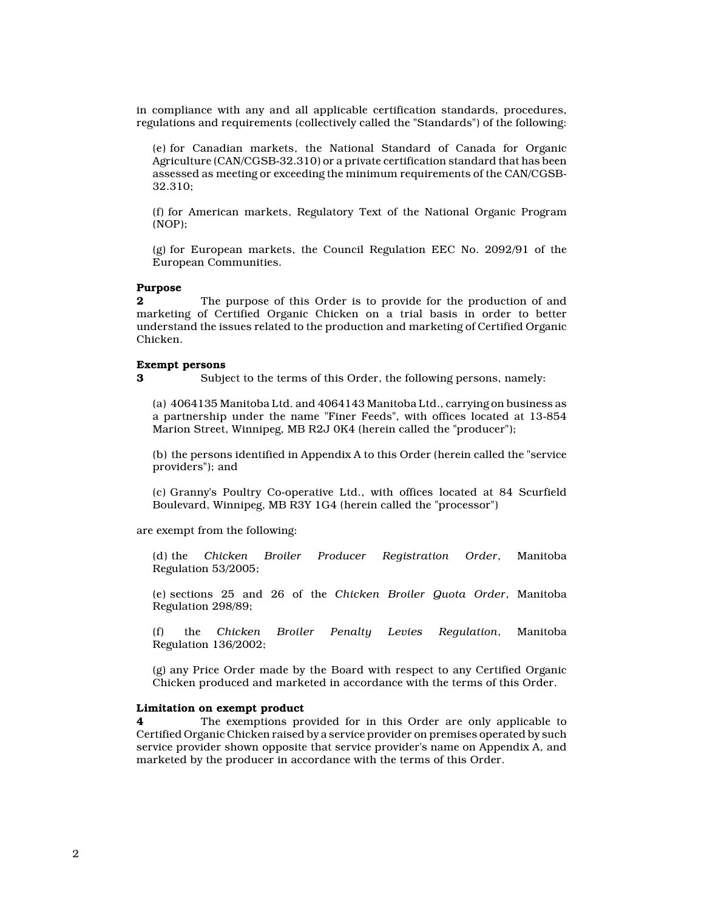in compliance with any and all applicable certification standards, procedures, regulations and requirements (collectively called the "Standards") of the following:

(e) for Canadian markets, the National Standard of Canada for Organic Agriculture (CAN/CGSB-32.310) or a private certification standard that has been assessed as meeting or exceeding the minimum requirements of the CAN/CGSB-32.310;

(f) for American markets, Regulatory Text of the National Organic Program (NOP);

(g) for European markets, the Council Regulation EEC No. 2092/91 of the European Communities.

#### Purpose

**2** The purpose of this Order is to provide for the production of and marketing of Certified Organic Chicken on a trial basis in order to better understand the issues related to the production and marketing of Certified Organic Chicken.

#### Exempt persons

3 Subject to the terms of this Order, the following persons, namely:

(a) 4064135 Manitoba Ltd. and 4064143 Manitoba Ltd., carrying on business as a partnership under the name "Finer Feeds", with offices located at 13-854 Marion Street, Winnipeg, MB R2J 0K4 (herein called the "producer");

(b) the persons identified in Appendix A to this Order (herein called the "service providers"); and

(c) Granny's Poultry Co-operative Ltd., with offices located at 84 Scurfield Boulevard, Winnipeg, MB R3Y 1G4 (herein called the "processor")

are exempt from the following:

(d) the Chicken Broiler Producer Registration Order, Manitoba Regulation 53/2005;

(e) sections 25 and 26 of the Chicken Broiler Quota Order, Manitoba Regulation 298/89;

(f) the Chicken Broiler Penalty Levies Regulation, Manitoba Regulation 136/2002;

(g) any Price Order made by the Board with respect to any Certified Organic Chicken produced and marketed in accordance with the terms of this Order.

## Limitation on exempt product

4 The exemptions provided for in this Order are only applicable to Certified Organic Chicken raised by a service provider on premises operated by such service provider shown opposite that service provider's name on Appendix A, and marketed by the producer in accordance with the terms of this Order.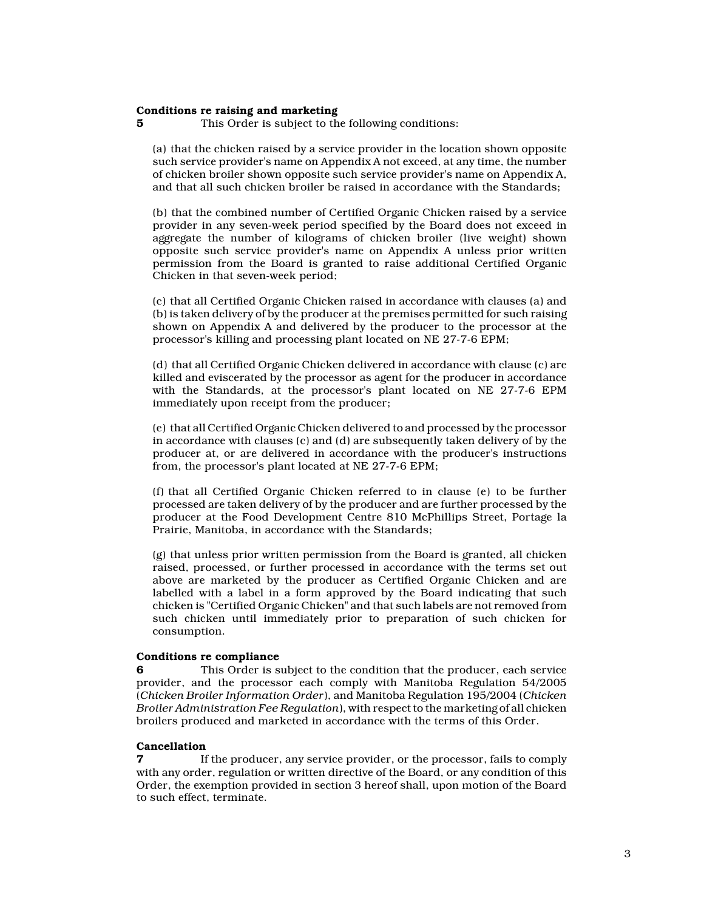#### Conditions re raising and marketing

**5** This Order is subject to the following conditions:

(a) that the chicken raised by a service provider in the location shown opposite such service provider's name on Appendix A not exceed, at any time, the number of chicken broiler shown opposite such service provider's name on Appendix A, and that all such chicken broiler be raised in accordance with the Standards;

(b) that the combined number of Certified Organic Chicken raised by a service provider in any seven-week period specified by the Board does not exceed in aggregate the number of kilograms of chicken broiler (live weight) shown opposite such service provider's name on Appendix A unless prior written permission from the Board is granted to raise additional Certified Organic Chicken in that seven-week period;

(c) that all Certified Organic Chicken raised in accordance with clauses (a) and (b) is taken delivery of by the producer at the premises permitted for such raising shown on Appendix A and delivered by the producer to the processor at the processor's killing and processing plant located on NE 27-7-6 EPM;

(d) that all Certified Organic Chicken delivered in accordance with clause (c) are killed and eviscerated by the processor as agent for the producer in accordance with the Standards, at the processor's plant located on NE 27-7-6 EPM immediately upon receipt from the producer;

(e) that all Certified Organic Chicken delivered to and processed by the processor in accordance with clauses (c) and (d) are subsequently taken delivery of by the producer at, or are delivered in accordance with the producer's instructions from, the processor's plant located at NE 27-7-6 EPM;

(f) that all Certified Organic Chicken referred to in clause (e) to be further processed are taken delivery of by the producer and are further processed by the producer at the Food Development Centre 810 McPhillips Street, Portage la Prairie, Manitoba, in accordance with the Standards;

(g) that unless prior written permission from the Board is granted, all chicken raised, processed, or further processed in accordance with the terms set out above are marketed by the producer as Certified Organic Chicken and are labelled with a label in a form approved by the Board indicating that such chicken is "Certified Organic Chicken" and that such labels are not removed from such chicken until immediately prior to preparation of such chicken for consumption.

### Conditions re compliance

6 This Order is subject to the condition that the producer, each service provider, and the processor each comply with Manitoba Regulation 54/2005 (Chicken Broiler Information Order), and Manitoba Regulation 195/2004 (Chicken Broiler Administration Fee Regulation), with respect to the marketing of all chicken broilers produced and marketed in accordance with the terms of this Order.

#### Cancellation

If the producer, any service provider, or the processor, fails to comply with any order, regulation or written directive of the Board, or any condition of this Order, the exemption provided in section 3 hereof shall, upon motion of the Board to such effect, terminate.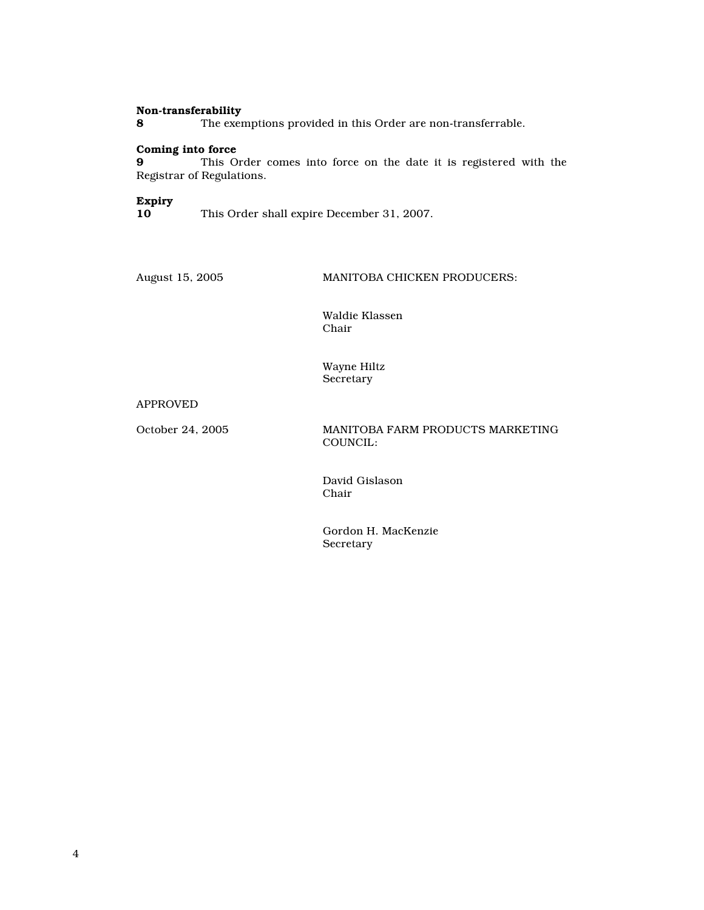#### Non-transferability

8 The exemptions provided in this Order are non-transferrable.

## Coming into force

9 This Order comes into force on the date it is registered with the Registrar of Regulations.

# Expiry

This Order shall expire December 31, 2007.

August 15, 2005 MANITOBA CHICKEN PRODUCERS:

Waldie Klassen Chair

Wayne Hiltz Secretary

## APPROVED

October 24, 2005 MANITOBA FARM PRODUCTS MARKETING COUNCIL:

> David Gislason Chair

Gordon H. MacKenzie Secretary